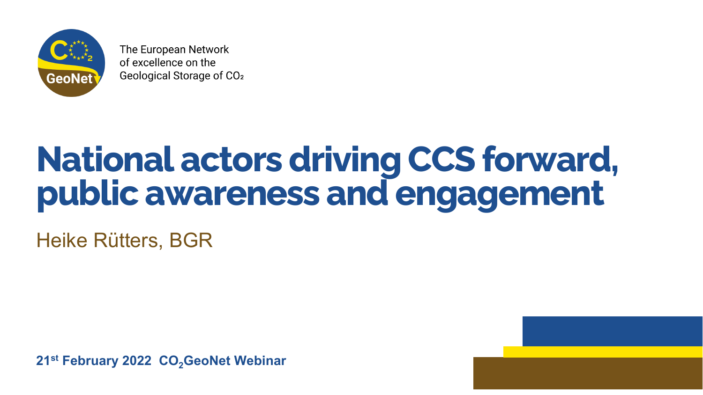

The European Network of excellence on the Geological Storage of CO<sub>2</sub>

# **National actors driving CCS forward, public awareness and engagement** Heike Rütters, BGR

**21st February 2022 CO<sub>2</sub>GeoNet Webinar** 

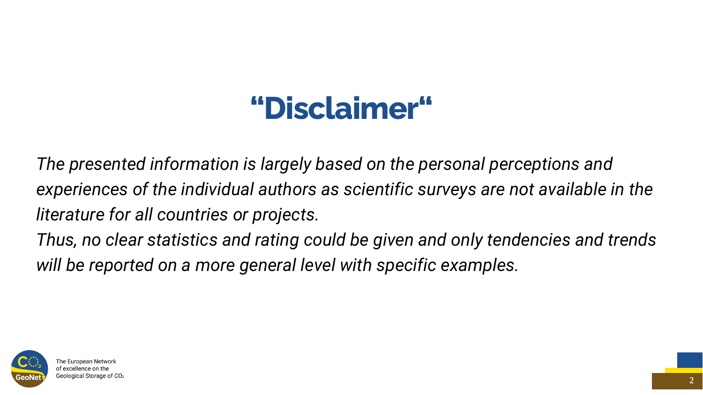*The presented information is largely based on the personal perceptions and experiences of the individual authors as scientific surveys are not available in the literature for all countries or projects. Thus, no clear statistics and rating could be given and only tendencies and trends will be reported on a more general level with specific examples.*





#### **"Disclaimer"**

2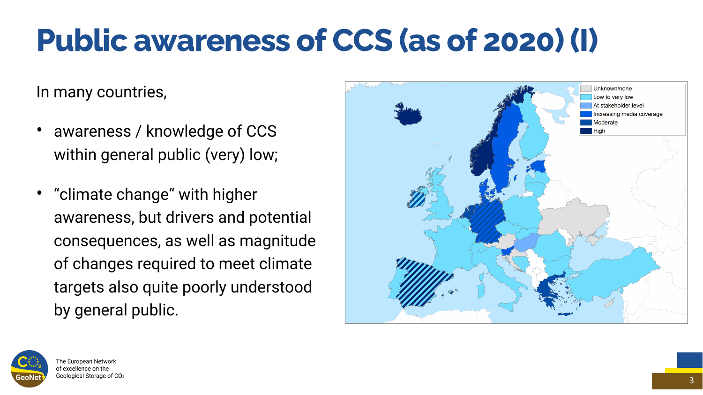In many countries,

- awareness / knowledge of CCS within general public (very) low;
- "climate change" with higher awareness, but drivers and potential consequences, as well as magnitude of changes required to meet climate targets also quite poorly understood by general public.





#### **Public awareness of CCS (as of 2020) (I)**

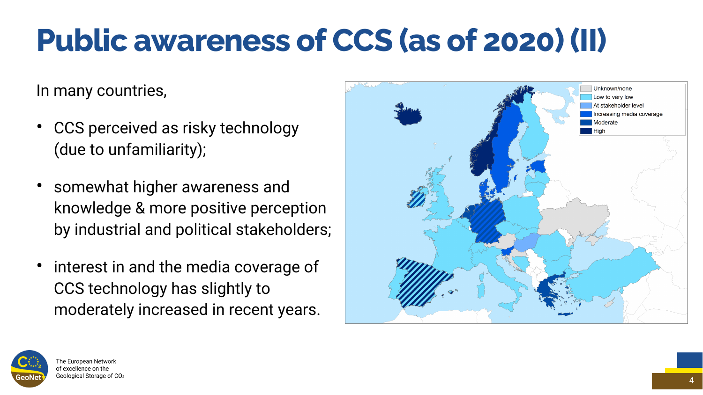In many countries,

- CCS perceived as risky technology (due to unfamiliarity);
- somewhat higher awareness and knowledge & more positive perception by industrial and political stakeholders;
- interest in and the media coverage of CCS technology has slightly to moderately increased in recent years.





### **Public awareness of CCS (as of 2020) (II)**

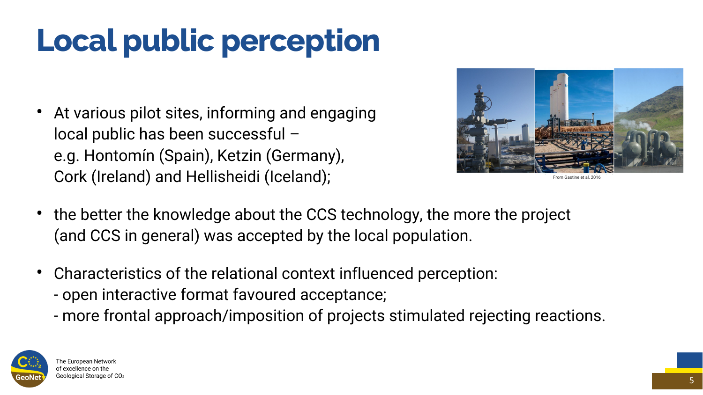- At various pilot sites, informing and engaging local public has been successful – e.g. Hontomín (Spain), Ketzin (Germany), Cork (Ireland) and Hellisheidi (Iceland);
- the better the knowledge about the CCS technology, the more the project (and CCS in general) was accepted by the local population.
- Characteristics of the relational context influenced perception: - open interactive format favoured acceptance;
	- more frontal approach/imposition of projects stimulated rejecting reactions.





**From Gastine et** 

# **Local public perception**

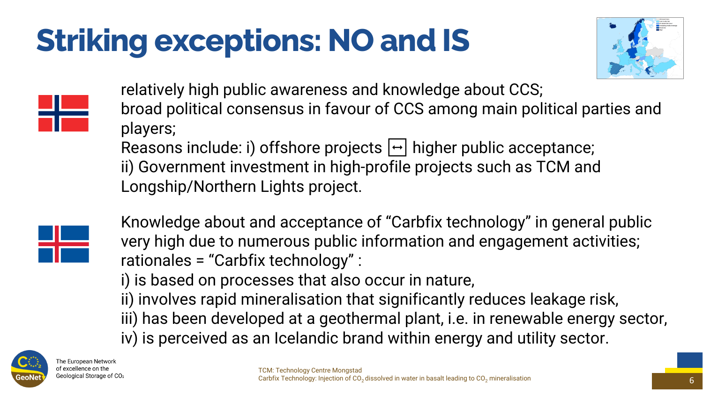relatively high public awareness and knowledge about CCS; broad political consensus in favour of CCS among main political parties and players;

Reasons include: i) offshore projects  $\boxed{\rightarrow}$  higher public acceptance; ii) Government investment in high-profile projects such as TCM and Longship/Northern Lights project.

Knowledge about and acceptance of "Carbfix technology" in general public very high due to numerous public information and engagement activities; rationales = "Carbfix technology" : i) is based on processes that also occur in nature, ii) involves rapid mineralisation that significantly reduces leakage risk, iii) has been developed at a geothermal plant, *i.e.* in renewable energy sector, iv) is perceived as an Icelandic brand within energy and utility sector.



The European Network of excellence on the Geological Storage of CO2

# **Striking exceptions: NO and IS**





TCM: Technology Centre Mongstad





















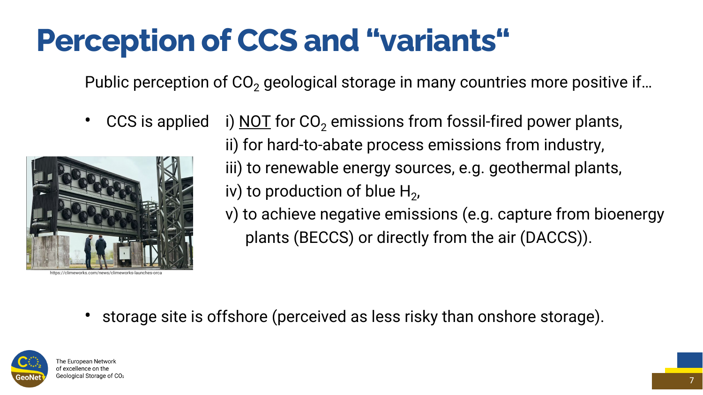- Public perception of  $CO<sub>2</sub>$  geological storage in many countries more positive if...
	- CCS is applied i) NOT for  $CO<sub>2</sub>$  emissions from fossil-fired power plants,
		- ii) for hard-to-abate process emissions from industry,
		- iii) to renewable energy sources, e.g. geothermal plants,
		- v) to achieve negative emissions (e.g. capture from bioenergy
			- plants (BECCS) or directly from the air (DACCS)).

• storage site is offshore (perceived as less risky than onshore storage).



#### **Perception of CCS and "variants"**

7



https://climeworks.com/news/climeworks-launches-orca

iv) to production of blue  $H_2$ ,



The European Network of excellence on the Geological Storage of CO2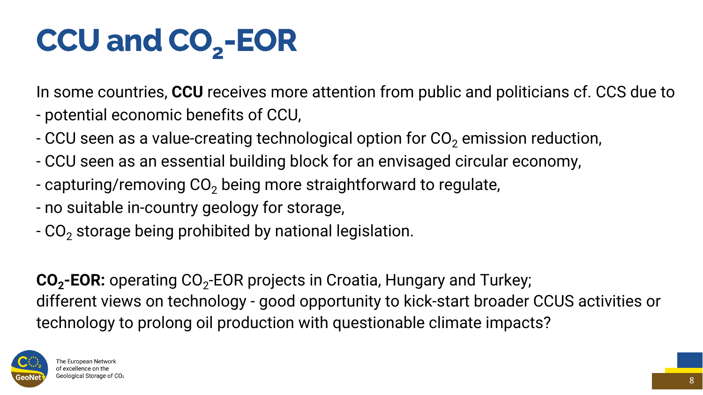In some countries, **CCU** receives more attention from public and politicians cf. CCS due to

- potential economic benefits of CCU,
- CCU seen as a value-creating technological option for  $CO<sub>2</sub>$  emission reduction,
- CCU seen as an essential building block for an envisaged circular economy,
- capturing/removing  $CO<sub>2</sub>$  being more straightforward to regulate,
- no suitable in-country geology for storage,
- $-$  CO<sub>2</sub> storage being prohibited by national legislation.

**CO<sub>2</sub>-EOR:** operating CO<sub>2</sub>-EOR projects in Croatia, Hungary and Turkey; technology to prolong oil production with questionable climate impacts?



different views on technology - good opportunity to kick-start broader CCUS activities or





# **CCU and CO2 -EOR**

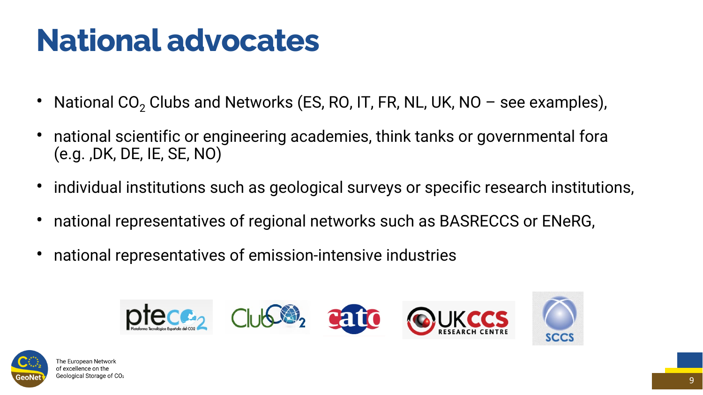- National  $CO<sub>2</sub>$  Clubs and Networks (ES, RO, IT, FR, NL, UK, NO see examples),
- national scientific or engineering academies, think tanks or governmental fora (e.g. ,DK, DE, IE, SE, NO)
- individual institutions such as geological surveys or specific research institutions,
- national representatives of regional networks such as BASRECCS or ENeRG,
- national representatives of emission-intensive industries







The European Network of excellence on the Geological Storage of CO2





#### **National advocates**